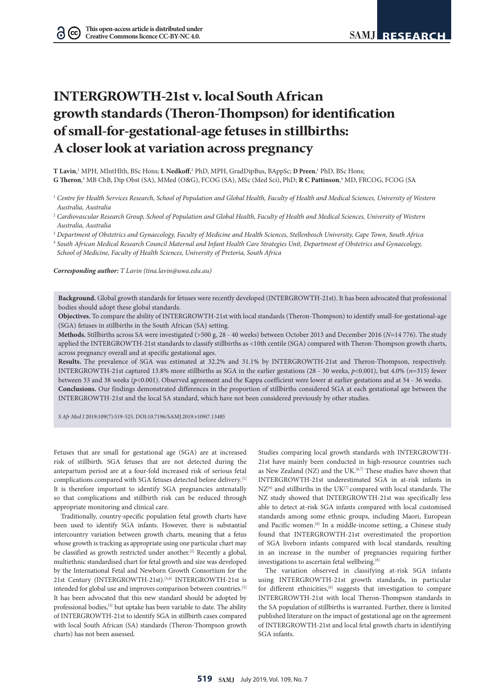# **INTERGROWTH-21st v. local South African growth standards (Theron-Thompson) for identification of small-for-gestational-age fetuses in stillbirths: A closer look at variation across pregnancy**

**T Lavin**,<sup>1</sup> MPH, MIntHlth, BSc Hons; **L Nedkoff**,<sup>2</sup> PhD, MPH, GradDipBus, BAppSc; **D Preen**,<sup>1</sup> PhD, BSc Hons; G Theron,<sup>3</sup> MB ChB, Dip Obst (SA), MMed (O&G), FCOG (SA), MSc (Med Sci), PhD; **R C Pattinson**,<sup>4</sup> MD, FRCOG, FCOG (SA

<sup>1</sup> *Centre for Health Services Research, School of Population and Global Health, Faculty of Health and Medical Sciences, University of Western Australia, Australia*

<sup>2</sup> *Cardiovascular Research Group, School of Population and Global Health, Faculty of Health and Medical Sciences, University of Western Australia, Australia*

3  *Department of Obstetrics and Gynaecology, Faculty of Medicine and Health Sciences, Stellenbosch University, Cape Town, South Africa*

<sup>4</sup> *South African Medical Research Council Maternal and Infant Health Care Strategies Unit, Department of Obstetrics and Gynaecology, School of Medicine, Faculty of Health Sciences, University of Pretoria, South Africa*

*Corresponding author: T Lavin (tina.lavin@uwa.edu.au)*

**Background.** Global growth standards for fetuses were recently developed (INTERGROWTH-21st). It has been advocated that professional bodies should adopt these global standards.

**Objectives.** To compare the ability of INTERGROWTH-21st with local standards (Theron-Thompson) to identify small-for-gestational-age (SGA) fetuses in stillbirths in the South African (SA) setting.

**Methods.** Stillbirths across SA were investigated (>500 g, 28 - 40 weeks) between October 2013 and December 2016 (*N*=14 776). The study applied the INTERGROWTH-21st standards to classify stillbirths as <10th centile (SGA) compared with Theron-Thompson growth charts, across pregnancy overall and at specific gestational ages.

**Results.** The prevalence of SGA was estimated at 32.2% and 31.1% by INTERGROWTH-21st and Theron-Thompson, respectively. INTERGROWTH-21st captured 13.8% more stillbirths as SGA in the earlier gestations (28 - 30 weeks, *p*<0.001), but 4.0% (*n*=315) fewer between 33 and 38 weeks (*p*<0.001). Observed agreement and the Kappa coefficient were lower at earlier gestations and at 34 - 36 weeks. **Conclusions.** Our findings demonstrated differences in the proportion of stillbirths considered SGA at each gestational age between the INTERGROWTH-21st and the local SA standard, which have not been considered previously by other studies.

*S Afr Med J* 2019;109(7):519-525. DOI:10.7196/SAMJ.2019.v109i7.13485

Fetuses that are small for gestational age (SGA) are at increased risk of stillbirth. SGA fetuses that are not detected during the antepartum period are at a four-fold increased risk of serious fetal complications compared with SGA fetuses detected before delivery.[1] It is therefore important to identify SGA pregnancies antenatally so that complications and stillbirth risk can be reduced through appropriate monitoring and clinical care.

Traditionally, country-specific population fetal growth charts have been used to identify SGA infants. However, there is substantial intercountry variation between growth charts, meaning that a fetus whose growth is tracking as appropriate using one particular chart may be classified as growth restricted under another.<sup>[2]</sup> Recently a global, multiethnic standardised chart for fetal growth and size was developed by the International Fetal and Newborn Growth Consortium for the 21st Century (INTERGROWTH-21st).<sup>[3,4]</sup> INTERGROWTH-21st is intended for global use and improves comparison between countries.[5] It has been advocated that this new standard should be adopted by professional bodies,<sup>[5]</sup> but uptake has been variable to date. The ability of INTERGROWTH-21st to identify SGA in stillbirth cases compared with local South African (SA) standards (Theron-Thompson growth charts) has not been assessed.

Studies comparing local growth standards with INTERGROWTH-21st have mainly been conducted in high-resource countries such as New Zealand (NZ) and the UK.<sup>[6,7]</sup> These studies have shown that INTERGROWTH-21st underestimated SGA in at-risk infants in  $NZ^{[6]}$  and stillbirths in the UK<sup>[7]</sup> compared with local standards. The NZ study showed that INTERGROWTH-21st was specifically less able to detect at-risk SGA infants compared with local customised standards among some ethnic groups, including Maori, European and Pacific women.<sup>[6]</sup> In a middle-income setting, a Chinese study found that INTERGROWTH-21st overestimated the proportion of SGA liveborn infants compared with local standards, resulting in an increase in the number of pregnancies requiring further investigations to ascertain fetal wellbeing.<sup>[8]</sup>

The variation observed in classifying at-risk SGA infants using INTERGROWTH-21st growth standards, in particular for different ethnicities,<sup>[6]</sup> suggests that investigation to compare INTERGROWTH-21st with local Theron-Thompson standards in the SA population of stillbirths is warranted. Further, there is limited published literature on the impact of gestational age on the agreement of INTERGROWTH-21st and local fetal growth charts in identifying SGA infants.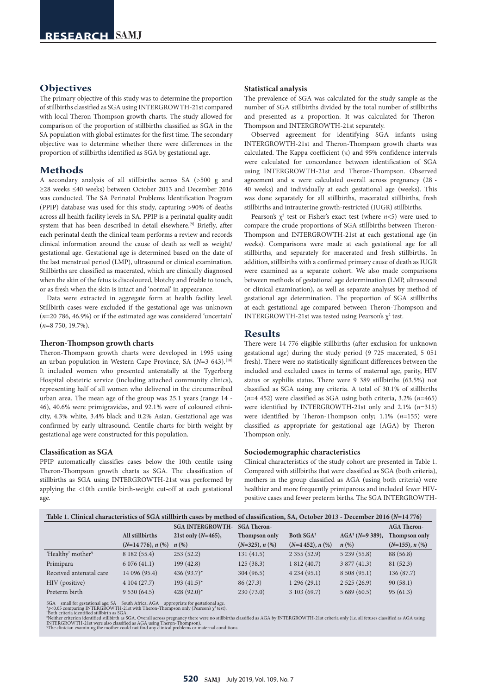## **Objectives**

The primary objective of this study was to determine the proportion of stillbirths classified as SGA using INTERGROWTH-21st compared with local Theron-Thompson growth charts. The study allowed for comparison of the proportion of stillbirths classified as SGA in the SA population with global estimates for the first time. The secondary objective was to determine whether there were differences in the proportion of stillbirths identified as SGA by gestational age.

## **Methods**

A secondary analysis of all stillbirths across SA (>500 g and ≥28 weeks ≤40 weeks) between October 2013 and December 2016 was conducted. The SA Perinatal Problems Identification Program (PPIP) database was used for this study, capturing >90% of deaths across all health facility levels in SA. PPIP is a perinatal quality audit system that has been described in detail elsewhere.<sup>[9]</sup> Briefly, after each perinatal death the clinical team performs a review and records clinical information around the cause of death as well as weight/ gestational age. Gestational age is determined based on the date of the last menstrual period (LMP), ultrasound or clinical examination. Stillbirths are classified as macerated, which are clinically diagnosed when the skin of the fetus is discoloured, blotchy and friable to touch, or as fresh when the skin is intact and 'normal' in appearance.

Data were extracted in aggregate form at health facility level. Stillbirth cases were excluded if the gestational age was unknown (*n*=20 786, 46.9%) or if the estimated age was considered 'uncertain' (*n*=8 750, 19.7%).

#### **Theron-Thompson growth charts**

Theron-Thompson growth charts were developed in 1995 using an urban population in Western Cape Province, SA (N=3 643).<sup>[10]</sup> It included women who presented antenatally at the Tygerberg Hospital obstetric service (including attached community clinics), representing half of all women who delivered in the circumscribed urban area. The mean age of the group was 25.1 years (range 14 - 46), 40.6% were primigravidas, and 92.1% were of coloured ethnicity, 4.3% white, 3.4% black and 0.2% Asian. Gestational age was confirmed by early ultrasound. Centile charts for birth weight by gestational age were constructed for this population.

## **Classification as SGA**

PPIP automatically classifies cases below the 10th centile using Theron-Thompson growth charts as SGA. The classification of stillbirths as SGA using INTERGROWTH-21st was performed by applying the <10th centile birth-weight cut-off at each gestational age.

#### **Statistical analysis**

The prevalence of SGA was calculated for the study sample as the number of SGA stillbirths divided by the total number of stillbirths and presented as a proportion. It was calculated for Theron-Thompson and INTERGROWTH-21st separately.

Observed agreement for identifying SGA infants using INTERGROWTH-21st and Theron-Thompson growth charts was calculated. The Kappa coefficient (κ) and 95% confidence intervals were calculated for concordance between identification of SGA using INTERGROWTH-21st and Theron-Thompson. Observed agreement and κ were calculated overall across pregnancy (28 - 40 weeks) and individually at each gestational age (weeks). This was done separately for all stillbirths, macerated stillbirths, fresh stillbirths and intrauterine growth-restricted (IUGR) stillbirths.

Pearson's  $\chi^2$  test or Fisher's exact test (where  $n < 5$ ) were used to compare the crude proportions of SGA stillbirths between Theron-Thompson and INTERGROWTH-21st at each gestational age (in weeks). Comparisons were made at each gestational age for all stillbirths, and separately for macerated and fresh stillbirths. In addition, stillbirths with a confirmed primary cause of death as IUGR were examined as a separate cohort. We also made comparisons between methods of gestational age determination (LMP, ultrasound or clinical examination), as well as separate analyses by method of gestational age determination. The proportion of SGA stillbirths at each gestational age compared between Theron-Thompson and INTERGROWTH-21st was tested using Pearson's  $\chi^2$  test.

## **Results**

There were 14 776 eligible stillbirths (after exclusion for unknown gestational age) during the study period (9 725 macerated, 5 051 fresh). There were no statistically significant differences between the included and excluded cases in terms of maternal age, parity, HIV status or syphilis status. There were 9 389 stillbirths (63.5%) not classified as SGA using any criteria. A total of 30.1% of stillbirths (*n*=4 452) were classified as SGA using both criteria, 3.2% (*n*=465) were identified by INTERGROWTH-21st only and 2.1% (*n*=315) were identified by Theron-Thompson only; 1.1% (*n*=155) were classified as appropriate for gestational age (AGA) by Theron-Thompson only.

#### **Sociodemographic characteristics**

Clinical characteristics of the study cohort are presented in Table 1. Compared with stillbirths that were classified as SGA (both criteria), mothers in the group classified as AGA (using both criteria) were healthier and more frequently primiparous and included fewer HIVpositive cases and fewer preterm births. The SGA INTERGROWTH-

| Table 1. Clinical characteristics of SGA stillbirth cases by method of classification, SA, October 2013 - December 2016 (N=14776) |                    |                         |                      |                       |                             |                      |  |  |  |
|-----------------------------------------------------------------------------------------------------------------------------------|--------------------|-------------------------|----------------------|-----------------------|-----------------------------|----------------------|--|--|--|
|                                                                                                                                   |                    | <b>SGA INTERGROWTH-</b> | <b>SGA Theron-</b>   |                       |                             | <b>AGA Theron-</b>   |  |  |  |
|                                                                                                                                   | All stillbirths    | 21st only $(N=465)$ ,   | Thompson only        | Both SGA <sup>+</sup> | $AGA^{\ddagger}$ (N=9 389), | Thompson only        |  |  |  |
|                                                                                                                                   | $(N=14776), n$ (%) | $n\left(\%\right)$      | $(N=325)$ , n $(\%)$ | $(N=4 452), n$ (%)    | $n\left(\%\right)$          | $(N=155)$ , n $(\%)$ |  |  |  |
| 'Healthy' mother <sup>§</sup>                                                                                                     | 8 182 (55.4)       | 253(52.2)               | 131(41.5)            | 2355(52.9)            | 5239(55.8)                  | 88 (56.8)            |  |  |  |
| Primipara                                                                                                                         | 6076(41.1)         | 199(42.8)               | 125(38.3)            | 1812(40.7)            | 3 877 (41.3)                | 81 (52.3)            |  |  |  |
| Received antenatal care                                                                                                           | 14 096 (95.4)      | 436 $(93.7)^*$          | 304(96.5)            | 4234(95.1)            | 8 508 (95.1)                | 136 (87.7)           |  |  |  |
| HIV (positive)                                                                                                                    | 4 104 (27.7)       | $193(41.5)^*$           | 86(27.3)             | 1296(29.1)            | 2525(26.9)                  | 90(58.1)             |  |  |  |
| Preterm birth                                                                                                                     | 9530(64.5)         | 428 $(92.0)$ *          | 230(73.0)            | 3103(69.7)            | 5689(60.5)                  | 95(61.3)             |  |  |  |

SGA = small for gestational age; SA = South Africa; AGA = appropriate for gestational age.<br>\*p<0.05 comparing INTERGROWTH-21st with Theron-Thompson only (Pearson's χ' test).<br>"Both criteria identified stillbirth as SGA. Ove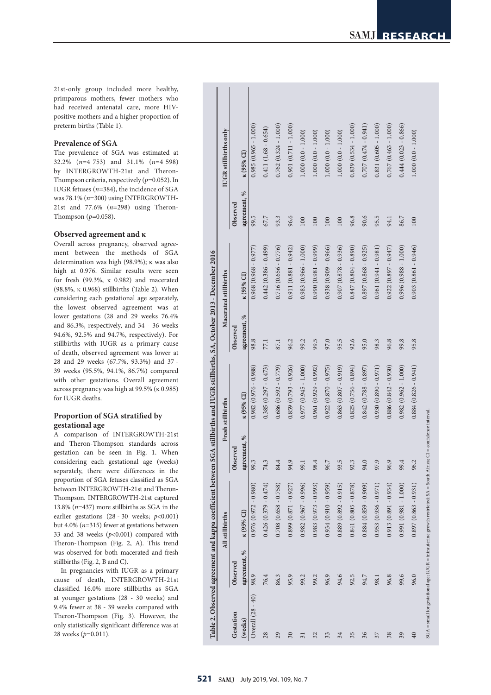21st-only group included more healthy, primparous mothers, fewer mothers who had received antenatal care, more HIVpositive mothers and a higher proportion of preterm births (Table 1).

## **Prevalence of SGA**

The prevalence of SGA was estimated at 32.2% ( *n*=4 753) and 31.1% ( *n*=4 598) by INTERGROWTH-21st and Theron-Thompson criteria, respectively (*p*=0.052). In IUGR fetuses ( *n*=384), the incidence of SGA was 78.1% ( *n*=300) using INTERGROWTH-21st and 77.6% (*n*=298) using Theron-Thompson (*p*=0.058).

## **Observed agreement and κ**

Overall across pregnancy, observed agreement between the methods of SGA determination was high (98.9%); κ was also high at 0.976. Similar results were seen for fresh (99.3%, κ 0.982) and macerated (98.8%, κ 0.968) stillbirths (Table 2). When considering each gestational age separately, the lowest observed agreement was at lower gestations (28 and 29 weeks 76.4% and 86.3%, respectively, and 34 - 36 weeks 94.6%, 92.5% and 94.7%, respectively). For stillbirths with IUGR as a primary cause of death, observed agreement was lower at 28 and 29 weeks (67.7%, 93.3%) and 37 - 39 weeks (95.5%, 94.1%, 86.7%) compared with other gestations. Overall agreement across pregnancy was high at 99.5% (κ 0.985) for IUGR deaths.

## **Proportion of SGA stratified by gestational age**

A comparison of INTERGROWTH-21st and Theron-Thompson standards across gestation can be seen in Fig. 1. When considering each gestational age (weeks) separately, there were differences in the proportion of SGA fetuses classified as SGA between INTERGROWTH-21st and Theron-Thompson. INTERGROWTH-21st captured 13.8% ( *n*=437) more stillbirths as SGA in the earlier gestations (28 - 30 weeks;  $p$ <0.001) but 4.0% ( *n*=315) fewer at gestations between 33 and 38 weeks (*p*<0.001) compared with Theron-Thompson (Fig. 2, A). This trend was observed for both macerated and fresh stillbirths (Fig. 2, B and C).

In pregnancies with IUGR as a primary cause of death, INTERGROWTH-21st classified 16.0% more stillbirths as SGA at younger gestations (28 - 30 weeks) and 9.4% fewer at 38 - 39 weeks compared with Theron-Thompson (Fig. 3). However, the only statistically significant difference was at 28 weeks (*p*=0.011).

|                   |              | All stillbirths                                                                                                      |              | Fresh stillbirths      |              | Macerated stillbirths      |              | <b>IUGR</b> stillbirths only |
|-------------------|--------------|----------------------------------------------------------------------------------------------------------------------|--------------|------------------------|--------------|----------------------------|--------------|------------------------------|
| Gestation         | Observed     |                                                                                                                      | Observed     |                        | Observed     |                            | Observed     |                              |
| (weeks)           | agreement, % | к (95% CI)                                                                                                           | agreement, % | K(95% CI)              | agreement, % | K (95% CI)                 | agreement, % | K(95% CI)                    |
| Overall (28 - 40) | 98.9         | $0.976(0.972 - 0.980)$                                                                                               | 99.3         | $0.982(0.976 - 0.988)$ | 98.8         | $0.968(0.968 - 0.977)$     | 99.5         | $0.985(0.965 - 1.000)$       |
| 28                | 76.4         | $0.426(0.379 - 0.474)$                                                                                               | 74.3         | $0.385(0.297 - 0.473)$ | 77.1         | $0.442(0.386 - 0.499)$     | 67.7         | $0.411(1.68 - 0.654)$        |
| 29                | 86.3         | $0.708(0.658 - 0.758)$                                                                                               | 84.4         | $0.686(0.592 - 0.779)$ | 87.1         | $0.716(0.656 - 0.776)$     | 93.3         | $0.762(0.324 - 1.000)$       |
| $\overline{30}$   | 95.9         | $0.899(0.871 - 0.927)$                                                                                               | 94.9         | $0.859(0.793 - 0.926)$ | 96.2         | $0.911(0.881 - 0.942)$     | 96.6         | $0.901(0.711 - 1.000)$       |
|                   | 99.2         | $0.982(0.967 - 0.996)$                                                                                               | 99.1         | $0.977(0.945 - 1.000)$ | 99.2         | $0.983(0.966 - 1.000)$     | 100          | $1.000(0.0 - 1.000)$         |
| 32                | 99.2         | $0.983(0.973 - 0.993)$                                                                                               | 98.4         | $0.961(0.929 - 0.992)$ | 99.5         | $(6660 - 1860)$ $(0.990)$  | 100          | $1.000(0.0 - 1.000)$         |
| 33                | 96.9         | $(650 - 010)$ + 0.959)                                                                                               | 96.7         | $0.922(0.870 - 0.975)$ | 97.0         | $0.938(0.909 - 0.966)$     | 100          | $1.000(0.0 - 1.000)$         |
| 34                | 94.6         | $0.889(0.892 - 0.915)$                                                                                               | 93.5         | $0.863(0.807 - 0.919)$ | 95.5         | $(956.0 - 828.0)$ 706.0    | 100          | $1.000(0.0 - 1.000)$         |
| 35                | 92.5         | $0.841(0.805 - 0.878)$                                                                                               | 92.3         | $0.825(0.756 - 0.894)$ | 92.6         | $0.847(0.804 - 0.890)$     | 96.8         | $0.839(0.534 - 1.000)$       |
| 36                | 94.7         | $0.884(0.859 - 0.909)$                                                                                               | 94.0         | $0.842(0.788 - 0.897)$ | 95.0         | $0.897(0.868 - 0.925)$     | 90.6         | $0.707(0.474 - 0.941)$       |
| 37                | 98.1         | $(1580(0.936 - 0.971))$                                                                                              | 97.9         | $0.930(0.890 - 0.971)$ | 98.3         | $(1861)$ $(0.941 - 0.981)$ | 95.5         | $0.831(0.605 - 1.000)$       |
| 38                | 96.8         | $0.913(0.891 - 0.934)$                                                                                               | 96.9         | $0.886(0.842 - 0.930)$ | 96.8         | $0.922(0.897 - 0.947)$     | 94.1         | $0.767(0.463 - 1.000)$       |
| 39                | 99.6         | $0.991(0.981 - 1.000)$                                                                                               | 99.4         | $0.982(0.962 - 1.000)$ | 99.8         | $0.996(0.988 - 1.000)$     | 86.7         | $0.444(0.023 - 0.866)$       |
| $\overline{40}$   | 96.0         | $0.897(0.863 - 0.931)$                                                                                               | 96.2         | $0.884(0.826 - 0.941)$ | 95.8         | $0.903(0.861 - 0.946)$     | 100          | $1.000(0.0 - 1.000)$         |
|                   |              | SGA = small for gestational age; IUGR = intrauterine growth restricted; SA = South Africa; CI = confidence interval. |              |                        |              |                            |              |                              |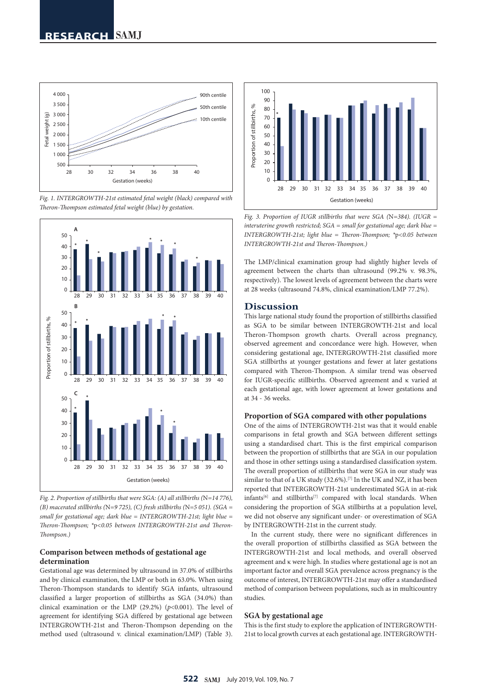

*Fig. 1. INTERGROWTH-21st estimated fetal weight (black) compared with Theron-Thompson estimated fetal weight (blue) by gestation.*



*Fig. 2. Proportion of stillbirths that were SGA: (A) all stillbirths (N=14 776), (B) macerated stillbirths (*N*=9 725), (C) fresh stillbirths (*N*=5 051). (SGA = small for gestational age; dark blue = INTERGROWTH-21st; light blue = Theron-Thompson; \**p*<0.05 between INTERGROWTH-21st and Theron-Thompson.)*

## **Comparison between methods of gestational age determination**

Gestational age was determined by ultrasound in 37.0% of stillbirths and by clinical examination, the LMP or both in 63.0%. When using Theron-Thompson standards to identify SGA infants, ultrasound classified a larger proportion of stillbirths as SGA (34.0%) than clinical examination or the LMP (29.2%) (*p*<0.001). The level of agreement for identifying SGA differed by gestational age between INTERGROWTH-21st and Theron-Thompson depending on the method used (ultrasound v. clinical examination/LMP) (Table 3).



*Fig. 3. Proportion of IUGR stillbirths that were SGA (*N*=384). (IUGR = interuterine growth restricted; SGA = small for gestational age; dark blue = INTERGROWTH-21st; light blue = Theron-Thompson; \**p*<0.05 between INTERGROWTH-21st and Theron-Thompson.)*

The LMP/clinical examination group had slightly higher levels of agreement between the charts than ultrasound (99.2% v. 98.3%, respectively). The lowest levels of agreement between the charts were at 28 weeks (ultrasound 74.8%, clinical examination/LMP 77.2%).

## **Discussion**

This large national study found the proportion of stillbirths classified as SGA to be similar between INTERGROWTH-21st and local Theron-Thompson growth charts. Overall across pregnancy, observed agreement and concordance were high. However, when considering gestational age, INTERGROWTH-21st classified more SGA stillbirths at younger gestations and fewer at later gestations compared with Theron-Thompson. A similar trend was observed for IUGR-specific stillbirths. Observed agreement and κ varied at each gestational age, with lower agreement at lower gestations and at 34 - 36 weeks.

#### **Proportion of SGA compared with other populations**

One of the aims of INTERGROWTH-21st was that it would enable comparisons in fetal growth and SGA between different settings using a standardised chart. This is the first empirical comparison between the proportion of stillbirths that are SGA in our population and those in other settings using a standardised classification system. The overall proportion of stillbirths that were SGA in our study was similar to that of a UK study (32.6%).<sup>[7]</sup> In the UK and NZ, it has been reported that INTERGROWTH-21st underestimated SGA in at-risk infants $^{[6]}$  and stillbirths $^{[7]}$  compared with local standards. When considering the proportion of SGA stillbirths at a population level, we did not observe any significant under- or overestimation of SGA by INTERGROWTH-21st in the current study.

In the current study, there were no significant differences in the overall proportion of stillbirths classified as SGA between the INTERGROWTH-21st and local methods, and overall observed agreement and κ were high. In studies where gestational age is not an important factor and overall SGA prevalence across pregnancy is the outcome of interest, INTERGROWTH-21st may offer a standardised method of comparison between populations, such as in multicountry studies.

#### **SGA by gestational age**

This is the first study to explore the application of INTERGROWTH-21st to local growth curves at each gestational age.INTERGROWTH-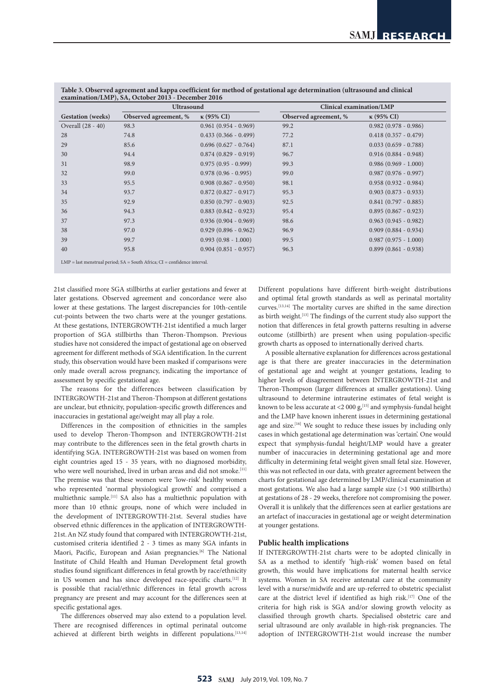| <b>Ultrasound</b>        |                       | Clinical examination/LMP  |                       |                        |
|--------------------------|-----------------------|---------------------------|-----------------------|------------------------|
| <b>Gestation</b> (weeks) | Observed agreement, % | $\kappa$ (95% CI)         | Observed agreement, % | $\kappa$ (95% CI)      |
| Overall (28 - 40)        | 98.3                  | $0.961(0.954 - 0.969)$    | 99.2                  | $0.982(0.978 - 0.986)$ |
| 28                       | 74.8                  | $0.433(0.366 - 0.499)$    | 77.2                  | $0.418(0.357 - 0.479)$ |
| 29                       | 85.6                  | $0.696(0.627 - 0.764)$    | 87.1                  | $0.033(0.659 - 0.788)$ |
| 30                       | 94.4                  | $0.874(0.829 - 0.919)$    | 96.7                  | $0.916(0.884 - 0.948)$ |
| 31                       | 98.9                  | $0.975(0.95 - 0.999)$     | 99.3                  | $0.986(0.969 - 1.000)$ |
| 32                       | 99.0                  | $0.978(0.96 - 0.995)$     | 99.0                  | $0.987(0.976 - 0.997)$ |
| 33                       | 95.5                  | $0.908$ $(0.867 - 0.950)$ | 98.1                  | $0.958(0.932 - 0.984)$ |
| 34                       | 93.7                  | $0.872(0.827 - 0.917)$    | 95.3                  | $0.903(0.873 - 0.933)$ |
| 35                       | 92.9                  | $0.850(0.797 - 0.903)$    | 92.5                  | $0.841(0.797 - 0.885)$ |
| 36                       | 94.3                  | $0.883(0.842 - 0.923)$    | 95.4                  | $0.895(0.867 - 0.923)$ |
| 37                       | 97.3                  | $0.936(0.904 - 0.969)$    | 98.6                  | $0.963(0.945 - 0.982)$ |
| 38                       | 97.0                  | $0.929(0.896 - 0.962)$    | 96.9                  | $0.909(0.884 - 0.934)$ |
| 39                       | 99.7                  | $0.993(0.98 - 1.000)$     | 99.5                  | $0.987(0.975 - 1.000)$ |
| 40                       | 95.8                  | $0.904$ $(0.851 - 0.957)$ | 96.3                  | $0.899(0.861 - 0.938)$ |

**Table 3. Observed agreement and kappa coefficient for method of gestational age determination (ultrasound and clinical** 

21st classified more SGA stillbirths at earlier gestations and fewer at later gestations. Observed agreement and concordance were also lower at these gestations. The largest discrepancies for 10th-centile cut-points between the two charts were at the younger gestations. At these gestations, INTERGROWTH-21st identified a much larger proportion of SGA stillbirths than Theron-Thompson. Previous studies have not considered the impact of gestational age on observed agreement for different methods of SGA identification. In the current study, this observation would have been masked if comparisons were only made overall across pregnancy, indicating the importance of assessment by specific gestational age.

The reasons for the differences between classification by INTERGROWTH-21st and Theron-Thompson at different gestations are unclear, but ethnicity, population-specific growth differences and inaccuracies in gestational age/weight may all play a role.

Differences in the composition of ethnicities in the samples used to develop Theron-Thompson and INTERGROWTH-21st may contribute to the differences seen in the fetal growth charts in identifying SGA. INTERGROWTH-21st was based on women from eight countries aged 15 - 35 years, with no diagnosed morbidity, who were well nourished, lived in urban areas and did not smoke.<sup>[11]</sup> The premise was that these women were 'low-risk' healthy women who represented 'normal physiological growth' and comprised a multiethnic sample.<sup>[11]</sup> SA also has a multiethnic population with more than 10 ethnic groups, none of which were included in the development of INTERGROWTH-21st. Several studies have observed ethnic differences in the application of INTERGROWTH-21st.An NZ study found that compared with INTERGROWTH-21st, customised criteria identified 2 - 3 times as many SGA infants in Maori, Pacific, European and Asian pregnancies.<sup>[6]</sup> The National Institute of Child Health and Human Development fetal growth studies found significant differences in fetal growth by race/ethnicity in US women and has since developed race-specific charts.<sup>[12]</sup> It is possible that racial/ethnic differences in fetal growth across pregnancy are present and may account for the differences seen at specific gestational ages.

The differences observed may also extend to a population level. There are recognised differences in optimal perinatal outcome achieved at different birth weights in different populations.<sup>[13,14]</sup>

Different populations have different birth-weight distributions and optimal fetal growth standards as well as perinatal mortality curves.[13,14] The mortality curves are shifted in the same direction as birth weight.<sup>[13]</sup> The findings of the current study also support the notion that differences in fetal growth patterns resulting in adverse outcome (stillbirth) are present when using population-specific growth charts as opposed to internationally derived charts.

A possible alternative explanation for differences across gestational age is that there are greater inaccuracies in the determination of gestational age and weight at younger gestations, leading to higher levels of disagreement between INTERGROWTH-21st and Theron-Thompson (larger differences at smaller gestations). Using ultrasound to determine intrauterine estimates of fetal weight is known to be less accurate at <2 000  $g$ ,<sup>[15]</sup> and symphysis-fundal height and the LMP have known inherent issues in determining gestational age and size.<sup>[16]</sup> We sought to reduce these issues by including only cases in which gestational age determination was 'certain'. One would expect that symphysis-fundal height/LMP would have a greater number of inaccuracies in determining gestational age and more difficulty in determining fetal weight given small fetal size. However, this was not reflected in our data, with greater agreement between the charts for gestational age determined by LMP/clinical examination at most gestations. We also had a large sample size (>1 900 stillbirths) at gestations of 28 - 29 weeks, therefore not compromising the power. Overall it is unlikely that the differences seen at earlier gestations are an artefact of inaccuracies in gestational age or weight determination at younger gestations.

## **Public health implications**

If INTERGROWTH-21st charts were to be adopted clinically in SA as a method to identify 'high-risk' women based on fetal growth, this would have implications for maternal health service systems. Women in SA receive antenatal care at the community level with a nurse/midwife and are up-referred to obstetric specialist care at the district level if identified as high risk.<sup>[17]</sup> One of the criteria for high risk is SGA and/or slowing growth velocity as classified through growth charts. Specialised obstetric care and serial ultrasound are only available in high-risk pregnancies. The adoption of INTERGROWTH-21st would increase the number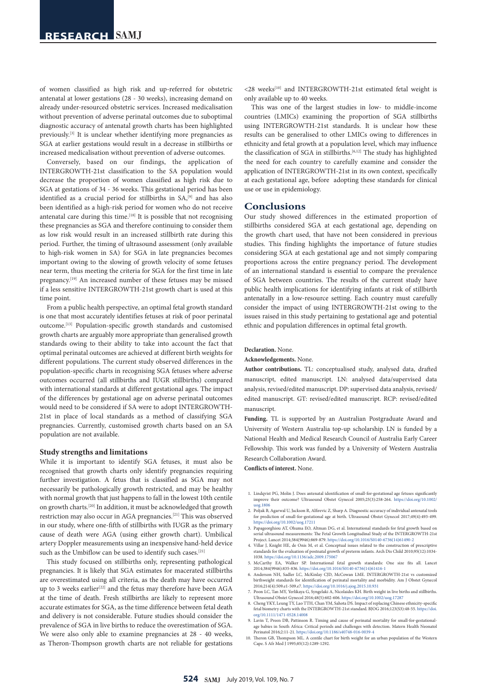of women classified as high risk and up-referred for obstetric antenatal at lower gestations (28 - 30 weeks), increasing demand on already under-resourced obstetric services. Increased medicalisation without prevention of adverse perinatal outcomes due to suboptimal diagnostic accuracy of antenatal growth charts has been highlighted previously.[3] It is unclear whether identifying more pregnancies as SGA at earlier gestations would result in a decrease in stillbirths or increased medicalisation without prevention of adverse outcomes.

Conversely, based on our findings, the application of INTERGROWTH-21st classification to the SA population would decrease the proportion of women classified as high risk due to SGA at gestations of 34 - 36 weeks. This gestational period has been identified as a crucial period for stillbirths in SA,<sup>[9]</sup> and has also been identified as a high-risk period for women who do not receive antenatal care during this time.<sup>[18]</sup> It is possible that not recognising these pregnancies as SGA and therefore continuing to consider them as low risk would result in an increased stillbirth rate during this period. Further, the timing of ultrasound assessment (only available to high-risk women in SA) for SGA in late pregnancies becomes important owing to the slowing of growth velocity of some fetuses near term, thus meeting the criteria for SGA for the first time in late pregnancy.[19] An increased number of these fetuses may be missed if a less sensitive INTERGROWTH-21st growth chart is used at this time point.

From a public health perspective, an optimal fetal growth standard is one that most accurately identifies fetuses at risk of poor perinatal outcome.[13] Population-specific growth standards and customised growth charts are arguably more appropriate than generalised growth standards owing to their ability to take into account the fact that optimal perinatal outcomes are achieved at different birth weights for different populations. The current study observed differences in the population-specific charts in recognising SGA fetuses where adverse outcomes occurred (all stillbirths and IUGR stillbirths) compared with international standards at different gestational ages. The impact of the differences by gestational age on adverse perinatal outcomes would need to be considered if SA were to adopt INTERGROWTH-21st in place of local standards as a method of classifying SGA pregnancies. Currently, customised growth charts based on an SA population are not available.

#### **Study strengths and limitations**

While it is important to identify SGA fetuses, it must also be recognised that growth charts only identify pregnancies requiring further investigation. A fetus that is classified as SGA may not necessarily be pathologically growth restricted, and may be healthy with normal growth that just happens to fall in the lowest 10th centile on growth charts.[20] In addition, it must be acknowledged that growth restriction may also occur in AGA pregnancies.[21] This was observed in our study, where one-fifth of stillbirths with IUGR as the primary cause of death were AGA (using either growth chart). Umbilical artery Doppler measurements using an inexpensive hand-held device such as the Umbiflow can be used to identify such cases.<sup>[21]</sup>

This study focused on stillbirths only, representing pathological pregnancies. It is likely that SGA estimates for macerated stillbirths are overestimated using all criteria, as the death may have occurred up to 3 weeks earlier<sup>[22]</sup> and the fetus may therefore have been AGA at the time of death. Fresh stillbirths are likely to represent more accurate estimates for SGA, as the time difference between fetal death and delivery is not considerable. Future studies should consider the prevalence of SGA in live births to reduce the overestimation of SGA. We were also only able to examine pregnancies at 28 - 40 weeks, as Theron-Thompson growth charts are not reliable for gestations

<28 weeks[10] and INTERGROWTH-21st estimated fetal weight is only available up to 40 weeks.

This was one of the largest studies in low- to middle-income countries (LMICs) examining the proportion of SGA stillbirths using INTERGROWTH-21st standards. It is unclear how these results can be generalised to other LMICs owing to differences in ethnicity and fetal growth at a population level, which may influence the classification of SGA in stillbirths.<sup>[6,12]</sup> The study has highlighted the need for each country to carefully examine and consider the application of INTERGROWTH-21st in its own context, specifically at each gestational age, before adopting these standards for clinical use or use in epidemiology.

#### **Conclusions**

Our study showed differences in the estimated proportion of stillbirths considered SGA at each gestational age, depending on the growth chart used, that have not been considered in previous studies. This finding highlights the importance of future studies considering SGA at each gestational age and not simply comparing proportions across the entire pregnancy period. The development of an international standard is essential to compare the prevalence of SGA between countries. The results of the current study have public health implications for identifying infants at risk of stillbirth antenatally in a low-resource setting. Each country must carefully consider the impact of using INTERGROWTH-21st owing to the issues raised in this study pertaining to gestational age and potential ethnic and population differences in optimal fetal growth.

#### **Declaration.** None.

**Acknowledgements.** None.

**Author contributions.** TL: conceptualised study, analysed data, drafted manuscript, edited manuscript. LN: analysed data/supervised data analysis, revised/edited manuscript. DP: supervised data analysis, revised/ edited manuscript. GT: revised/edited manuscript. RCP: revised/edited manuscript.

**Funding.** TL is supported by an Australian Postgraduate Award and University of Western Australia top-up scholarship. LN is funded by a National Health and Medical Research Council of Australia Early Career Fellowship. This work was funded by a University of Western Australia Research Collaboration Award.

**Conflicts of interest.** None.

- 1. Lindqvist PG, Molin J. Does antenatal identification of small-for-gestational age fetuses significantly improve their outcome? Ultrasound Obstet Gynecol 2005;25(3):258-264. [https://doi.org/10.1002/](https://doi.org/10.1002/uog.1806)  $\frac{1}{2}$ .1806
- 2. Poljak B, Agarwal U, Jackson R, Alfirevic Z, Sharp A. Diagnostic accuracy of individual antenatal tools for prediction of small-for-gestational age at birth. Ultrasound Obstet Gynecol 2017;49(4):493-499. <https://doi.org/10.1002/uog.17211><br>3. Papageorghiou AT, Ohuma EO, Altm
- an DG, et al. International standards for fetal growth b serial ultrasound measurements: The Fetal Growth Longitudinal Study of the INTERGROWTH-21st Project. Lancet 2014;384(9946):869-879. [https://doi.org/10.1016/S0140-6736\(14\)61490-2](https://doi.org/10.1016/S0140-6736(14)61490-2)
- 4. Villar J, Knight HE, de Onis M, et al. Conceptual issues related to the construction of prescriptive standards for the evaluation of postnatal growth of preterm infants. Arch Dis Child 2010;95(12):1034-
- 1038. <https://doi.org/10.1136/adc.2009.175067> 5. McCarthy EA, Walker SP. International fetal growth standards: One size fits all. Lancet 2014;384(9946):835-836. [https://doi.org/10.1016/S0140-6736\(14\)61416-1](https://doi.org/10.1016/S0140-6736(14)61416-1)
- 6. Anderson NH, Sadler LC, McKinlay CJD, McCowan LME. INTERGROWTH-21st vs customized
- birthweight standards for identification of perinatal mortality and morbidity. Am J Obstet Gynecol 2016;214(4):509.e1-509.e7. <https://doi.org/10.1016/j.ajog.2015.10.931>
- 7. Poon LC, Tan MY, Yerlikaya G, Syngelaki A, Nicolaides KH. Birth weight in live births and stillbirths.<br>Ultrasound Obstet Gynecol 2016;48(5):602-606. https://do.iorg/10.1002/uog.17287<br>8. Cheng YKY, Leung TY, Lao TTH, C fetal biometry charts with the INTERGROWTH-21st standard. BJOG 2016;123(S3):48-55. [https://doi.](https://doi.org/10.1111/1471-0528.14008)
- [org/10.1111/1471-0528.14008](https://doi.org/10.1111/1471-0528.14008) 9. Lavin T, Preen DB, Pattinson R. Timing and cause of perinatal mortality for small-for-gestationalage babies in South Africa: Critical periods and challenges with detection. Matern Health Neonatol<br>Perinatol 2016;2:11-21.<https://doi.org/10.1186/s40748-016-0039-4><br>10. Theron GB, Thompson ML. A centile chart for birth wei
- Cape. S Afr Med J 1995;85(12):1289-1292.